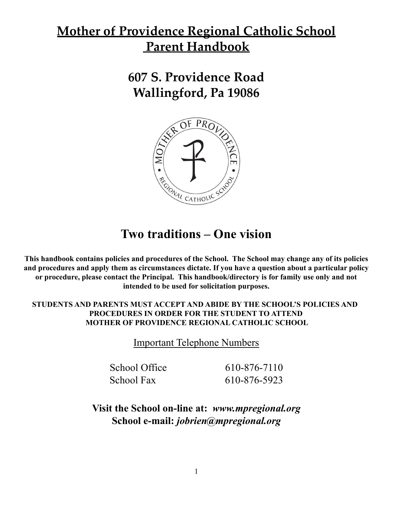# **Mother of Providence Regional Catholic School Parent Handbook**

**607 S. Providence Road Wallingford, Pa 19086**



# **Two traditions – One vision**

**This handbook contains policies and procedures of the School. The School may change any of its policies and procedures and apply them as circumstances dictate. If you have a question about a particular policy or procedure, please contact the Principal. This handbook/directory is for family use only and not intended to be used for solicitation purposes.**

# **STUDENTS AND PARENTS MUST ACCEPT AND ABIDE BY THE SCHOOL'S POLICIES AND PROCEDURES IN ORDER FOR THE STUDENT TO ATTEND MOTHER OF PROVIDENCE REGIONAL CATHOLIC SCHOOL**

Important Telephone Numbers

School Office 610-876-7110 School Fax 610-876-5923

**Visit the School on-line at:** *www.mpregional.org* **School e-mail:** *jobrien@mpregional.org*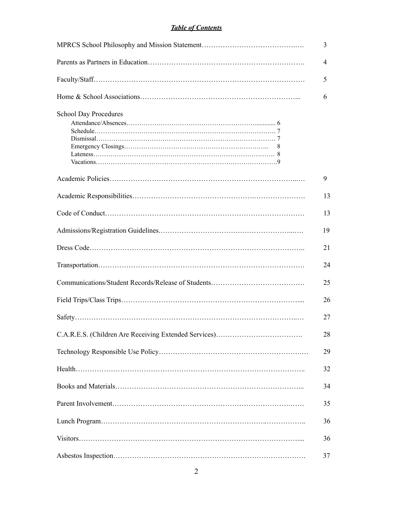## *Table of Contents*

|                                   | 3  |
|-----------------------------------|----|
|                                   | 4  |
|                                   | 5  |
|                                   | 6  |
| <b>School Day Procedures</b><br>8 |    |
|                                   | 9  |
|                                   | 13 |
|                                   | 13 |
|                                   | 19 |
|                                   | 21 |
|                                   | 24 |
|                                   | 25 |
|                                   | 26 |
|                                   | 27 |
|                                   | 28 |
|                                   | 29 |
|                                   | 32 |
|                                   | 34 |
|                                   | 35 |
|                                   | 36 |
|                                   | 36 |
|                                   | 37 |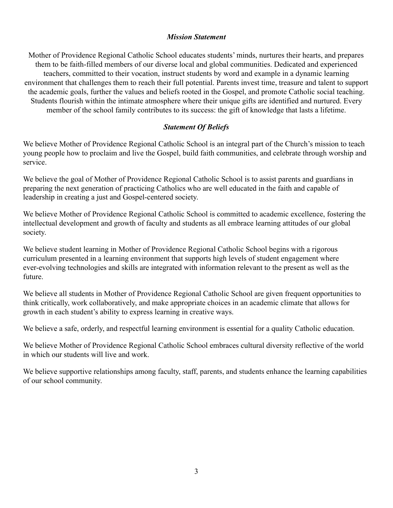#### *Mission Statement*

Mother of Providence Regional Catholic School educates students' minds, nurtures their hearts, and prepares them to be faith-filled members of our diverse local and global communities. Dedicated and experienced teachers, committed to their vocation, instruct students by word and example in a dynamic learning environment that challenges them to reach their full potential. Parents invest time, treasure and talent to support the academic goals, further the values and beliefs rooted in the Gospel, and promote Catholic social teaching. Students flourish within the intimate atmosphere where their unique gifts are identified and nurtured. Every member of the school family contributes to its success: the gift of knowledge that lasts a lifetime.

## *Statement Of Beliefs*

We believe Mother of Providence Regional Catholic School is an integral part of the Church's mission to teach young people how to proclaim and live the Gospel, build faith communities, and celebrate through worship and service.

We believe the goal of Mother of Providence Regional Catholic School is to assist parents and guardians in preparing the next generation of practicing Catholics who are well educated in the faith and capable of leadership in creating a just and Gospel-centered society.

We believe Mother of Providence Regional Catholic School is committed to academic excellence, fostering the intellectual development and growth of faculty and students as all embrace learning attitudes of our global society.

We believe student learning in Mother of Providence Regional Catholic School begins with a rigorous curriculum presented in a learning environment that supports high levels of student engagement where ever-evolving technologies and skills are integrated with information relevant to the present as well as the future.

We believe all students in Mother of Providence Regional Catholic School are given frequent opportunities to think critically, work collaboratively, and make appropriate choices in an academic climate that allows for growth in each student's ability to express learning in creative ways.

We believe a safe, orderly, and respectful learning environment is essential for a quality Catholic education.

We believe Mother of Providence Regional Catholic School embraces cultural diversity reflective of the world in which our students will live and work.

We believe supportive relationships among faculty, staff, parents, and students enhance the learning capabilities of our school community.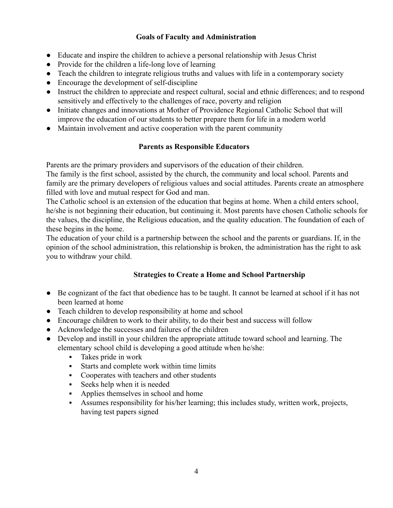## **Goals of Faculty and Administration**

- Educate and inspire the children to achieve a personal relationship with Jesus Christ
- Provide for the children a life-long love of learning
- Teach the children to integrate religious truths and values with life in a contemporary society
- Encourage the development of self-discipline
- Instruct the children to appreciate and respect cultural, social and ethnic differences; and to respond sensitively and effectively to the challenges of race, poverty and religion
- Initiate changes and innovations at Mother of Providence Regional Catholic School that will improve the education of our students to better prepare them for life in a modern world
- Maintain involvement and active cooperation with the parent community

## **Parents as Responsible Educators**

Parents are the primary providers and supervisors of the education of their children.

The family is the first school, assisted by the church, the community and local school. Parents and family are the primary developers of religious values and social attitudes. Parents create an atmosphere filled with love and mutual respect for God and man.

The Catholic school is an extension of the education that begins at home. When a child enters school, he/she is not beginning their education, but continuing it. Most parents have chosen Catholic schools for the values, the discipline, the Religious education, and the quality education. The foundation of each of these begins in the home.

The education of your child is a partnership between the school and the parents or guardians. If, in the opinion of the school administration, this relationship is broken, the administration has the right to ask you to withdraw your child.

# **Strategies to Create a Home and School Partnership**

- Be cognizant of the fact that obedience has to be taught. It cannot be learned at school if it has not been learned at home
- Teach children to develop responsibility at home and school
- Encourage children to work to their ability, to do their best and success will follow
- Acknowledge the successes and failures of the children
- Develop and instill in your children the appropriate attitude toward school and learning. The elementary school child is developing a good attitude when he/she:
	- Takes pride in work
	- Starts and complete work within time limits
	- Cooperates with teachers and other students
	- **Executed** Seeks help when it is needed
	- Applies themselves in school and home
	- Assumes responsibility for his/her learning; this includes study, written work, projects, having test papers signed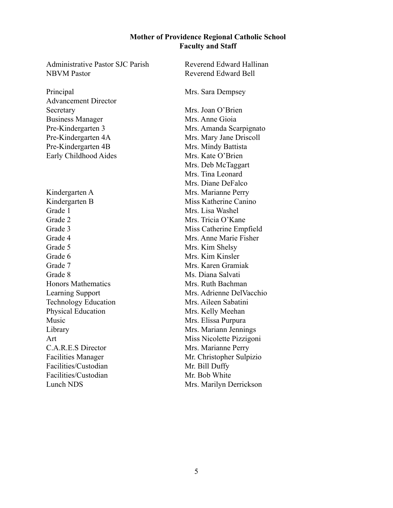#### **Mother of Providence Regional Catholic School Faculty and Staff**

NBVM Pastor Reverend Edward Bell

Principal Mrs. Sara Dempsey Advancement Director Secretary Mrs. Joan O'Brien Business Manager Mrs. Anne Gioia Early Childhood Aides Mrs. Kate O'Brien

Grade 1 Mrs. Lisa Washel Grade 5 Mrs. Kim Shelsy Facilities/Custodian Mr. Bill Duffy Facilities/Custodian Mr. Bob White Lunch NDS Mrs. Marilyn Derrickson

Administrative Pastor SJC Parish Reverend Edward Hallinan Pre-Kindergarten 3 Mrs. Amanda Scarpignato Pre-Kindergarten 4A Mrs. Mary Jane Driscoll Pre-Kindergarten 4B Mrs. Mindy Battista Mrs. Deb McTaggart Mrs. Tina Leonard Mrs. Diane DeFalco Kindergarten A Mrs. Marianne Perry Kindergarten B Miss Katherine Canino Grade 2 Mrs. Tricia O'Kane Grade 3 Miss Catherine Empfield Grade 4 Mrs. Anne Marie Fisher Grade 6 Mrs. Kim Kinsler Grade 7 Mrs. Karen Gramiak Grade 8 Ms. Diana Salvati Honors Mathematics Mrs. Ruth Bachman Learning Support Mrs. Adrienne DelVacchio Technology Education Mrs. Aileen Sabatini Physical Education Mrs. Kelly Meehan Music Mrs. Elissa Purpura Library Mrs. Mariann Jennings Art Miss Nicolette Pizzigoni C.A.R.E.S Director Mrs. Marianne Perry Facilities Manager Mr. Christopher Sulpizio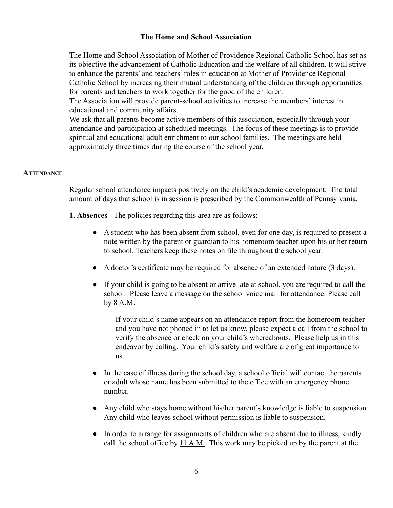#### **The Home and School Association**

The Home and School Association of Mother of Providence Regional Catholic School has set as its objective the advancement of Catholic Education and the welfare of all children. It will strive to enhance the parents' and teachers' roles in education at Mother of Providence Regional Catholic School by increasing their mutual understanding of the children through opportunities for parents and teachers to work together for the good of the children.

The Association will provide parent-school activities to increase the members' interest in educational and community affairs.

We ask that all parents become active members of this association, especially through your attendance and participation at scheduled meetings. The focus of these meetings is to provide spiritual and educational adult enrichment to our school families. The meetings are held approximately three times during the course of the school year.

#### **ATTENDANCE**

Regular school attendance impacts positively on the child's academic development. The total amount of days that school is in session is prescribed by the Commonwealth of Pennsylvania.

- **1. Absences** The policies regarding this area are as follows:
	- A student who has been absent from school, even for one day, is required to present a note written by the parent or guardian to his homeroom teacher upon his or her return to school. Teachers keep these notes on file throughout the school year.
	- A doctor's certificate may be required for absence of an extended nature (3 days).
	- If your child is going to be absent or arrive late at school, you are required to call the school. Please leave a message on the school voice mail for attendance. Please call by 8 A.M.

If your child's name appears on an attendance report from the homeroom teacher and you have not phoned in to let us know, please expect a call from the school to verify the absence or check on your child's whereabouts. Please help us in this endeavor by calling. Your child's safety and welfare are of great importance to us.

- In the case of illness during the school day, a school official will contact the parents or adult whose name has been submitted to the office with an emergency phone number.
- Any child who stays home without his/her parent's knowledge is liable to suspension. Any child who leaves school without permission is liable to suspension.
- In order to arrange for assignments of children who are absent due to illness, kindly call the school office by 11 A.M. This work may be picked up by the parent at the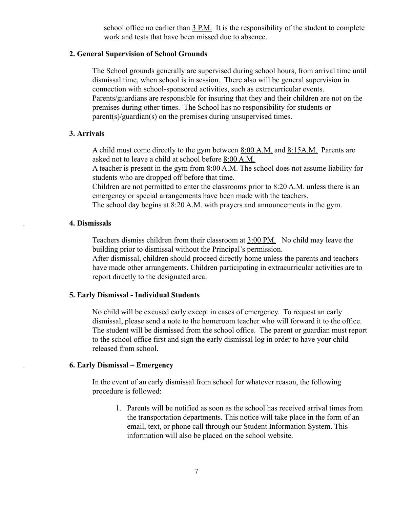school office no earlier than 3 P.M. It is the responsibility of the student to complete work and tests that have been missed due to absence.

#### **2. General Supervision of School Grounds**

The School grounds generally are supervised during school hours, from arrival time until dismissal time, when school is in session. There also will be general supervision in connection with school-sponsored activities, such as extracurricular events. Parents/guardians are responsible for insuring that they and their children are not on the premises during other times. The School has no responsibility for students or parent(s)/guardian(s) on the premises during unsupervised times.

#### **3. Arrivals**

A child must come directly to the gym between 8:00 A.M. and 8:15A.M. Parents are asked not to leave a child at school before 8:00 A.M.

A teacher is present in the gym from 8:00 A.M. The school does not assume liability for students who are dropped off before that time.

Children are not permitted to enter the classrooms prior to 8:20 A.M. unless there is an emergency or special arrangements have been made with the teachers.

The school day begins at 8:20 A.M. with prayers and announcements in the gym.

#### . **4. Dismissals**

Teachers dismiss children from their classroom at 3:00 PM. No child may leave the building prior to dismissal without the Principal's permission.

After dismissal, children should proceed directly home unless the parents and teachers have made other arrangements. Children participating in extracurricular activities are to report directly to the designated area.

#### **5. Early Dismissal - Individual Students**

No child will be excused early except in cases of emergency. To request an early dismissal, please send a note to the homeroom teacher who will forward it to the office. The student will be dismissed from the school office. The parent or guardian must report to the school office first and sign the early dismissal log in order to have your child released from school.

#### . **6. Early Dismissal – Emergency**

In the event of an early dismissal from school for whatever reason, the following procedure is followed:

1. Parents will be notified as soon as the school has received arrival times from the transportation departments. This notice will take place in the form of an email, text, or phone call through our Student Information System. This information will also be placed on the school website.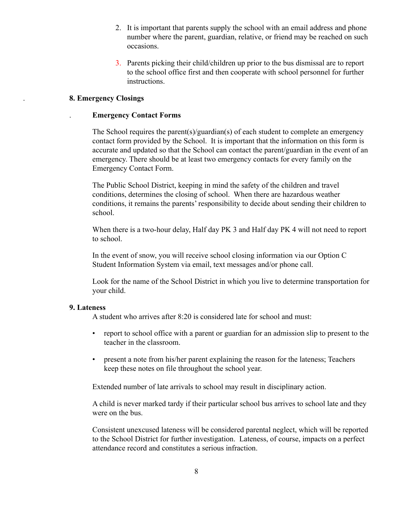- 2. It is important that parents supply the school with an email address and phone number where the parent, guardian, relative, or friend may be reached on such occasions.
- 3. Parents picking their child/children up prior to the bus dismissal are to report to the school office first and then cooperate with school personnel for further instructions.

#### . **8. Emergency Closings**

#### . **Emergency Contact Forms**

The School requires the parent(s)/guardian(s) of each student to complete an emergency contact form provided by the School. It is important that the information on this form is accurate and updated so that the School can contact the parent/guardian in the event of an emergency. There should be at least two emergency contacts for every family on the Emergency Contact Form.

The Public School District, keeping in mind the safety of the children and travel conditions, determines the closing of school. When there are hazardous weather conditions, it remains the parents' responsibility to decide about sending their children to school.

When there is a two-hour delay, Half day PK 3 and Half day PK 4 will not need to report to school.

In the event of snow, you will receive school closing information via our Option C Student Information System via email, text messages and/or phone call.

Look for the name of the School District in which you live to determine transportation for your child.

#### **9. Lateness**

A student who arrives after 8:20 is considered late for school and must:

- report to school office with a parent or guardian for an admission slip to present to the teacher in the classroom.
- present a note from his/her parent explaining the reason for the lateness; Teachers keep these notes on file throughout the school year.

Extended number of late arrivals to school may result in disciplinary action.

A child is never marked tardy if their particular school bus arrives to school late and they were on the bus.

Consistent unexcused lateness will be considered parental neglect, which will be reported to the School District for further investigation. Lateness, of course, impacts on a perfect attendance record and constitutes a serious infraction.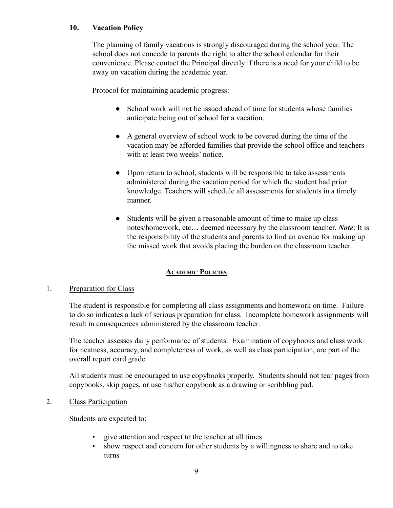## **10. Vacation Policy**

The planning of family vacations is strongly discouraged during the school year. The school does not concede to parents the right to alter the school calendar for their convenience. Please contact the Principal directly if there is a need for your child to be away on vacation during the academic year.

Protocol for maintaining academic progress:

- School work will not be issued ahead of time for students whose families anticipate being out of school for a vacation.
- A general overview of school work to be covered during the time of the vacation may be afforded families that provide the school office and teachers with at least two weeks' notice.
- Upon return to school, students will be responsible to take assessments administered during the vacation period for which the student had prior knowledge. Teachers will schedule all assessments for students in a timely manner.
- Students will be given a reasonable amount of time to make up class notes/homework, etc… deemed necessary by the classroom teacher. *Note*: It is the responsibility of the students and parents to find an avenue for making up the missed work that avoids placing the burden on the classroom teacher.

# **ACADEMIC POLICIES**

## 1. Preparation for Class

The student is responsible for completing all class assignments and homework on time. Failure to do so indicates a lack of serious preparation for class. Incomplete homework assignments will result in consequences administered by the classroom teacher.

The teacher assesses daily performance of students. Examination of copybooks and class work for neatness, accuracy, and completeness of work, as well as class participation, are part of the overall report card grade.

All students must be encouraged to use copybooks properly. Students should not tear pages from copybooks, skip pages, or use his/her copybook as a drawing or scribbling pad.

#### 2. Class Participation

Students are expected to:

- give attention and respect to the teacher at all times
- show respect and concern for other students by a willingness to share and to take turns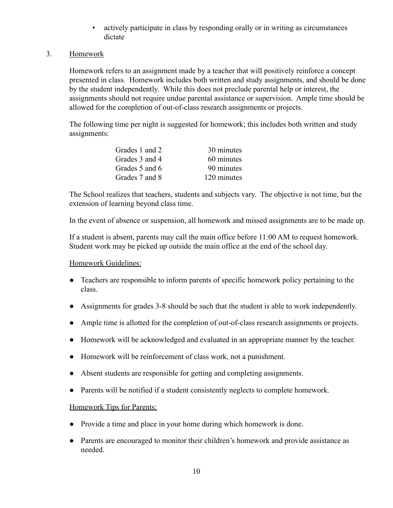- actively participate in class by responding orally or in writing as circumstances dictate
- 3. Homework

Homework refers to an assignment made by a teacher that will positively reinforce a concept presented in class. Homework includes both written and study assignments, and should be done by the student independently. While this does not preclude parental help or interest, the assignments should not require undue parental assistance or supervision. Ample time should be allowed for the completion of out-of-class research assignments or projects.

The following time per night is suggested for homework; this includes both written and study assignments:

| Grades 1 and 2 | 30 minutes  |
|----------------|-------------|
| Grades 3 and 4 | 60 minutes  |
| Grades 5 and 6 | 90 minutes  |
| Grades 7 and 8 | 120 minutes |

The School realizes that teachers, students and subjects vary. The objective is not time, but the extension of learning beyond class time.

In the event of absence or suspension, all homework and missed assignments are to be made up.

If a student is absent, parents may call the main office before 11:00 AM to request homework. Student work may be picked up outside the main office at the end of the school day.

#### Homework Guidelines:

- Teachers are responsible to inform parents of specific homework policy pertaining to the class.
- Assignments for grades 3-8 should be such that the student is able to work independently.
- Ample time is allotted for the completion of out-of-class research assignments or projects.
- Homework will be acknowledged and evaluated in an appropriate manner by the teacher.
- Homework will be reinforcement of class work, not a punishment.
- Absent students are responsible for getting and completing assignments.
- Parents will be notified if a student consistently neglects to complete homework.

## Homework Tips for Parents:

- Provide a time and place in your home during which homework is done.
- Parents are encouraged to monitor their children's homework and provide assistance as needed.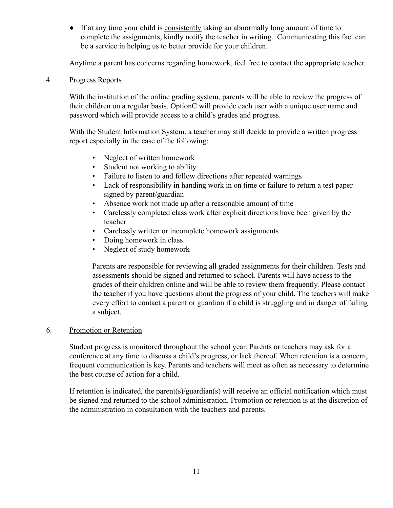● If at any time your child is consistently taking an abnormally long amount of time to complete the assignments, kindly notify the teacher in writing. Communicating this fact can be a service in helping us to better provide for your children.

Anytime a parent has concerns regarding homework, feel free to contact the appropriate teacher.

#### 4. Progress Reports

With the institution of the online grading system, parents will be able to review the progress of their children on a regular basis. OptionC will provide each user with a unique user name and password which will provide access to a child's grades and progress.

With the Student Information System, a teacher may still decide to provide a written progress report especially in the case of the following:

- Neglect of written homework
- Student not working to ability
- Failure to listen to and follow directions after repeated warnings
- Lack of responsibility in handing work in on time or failure to return a test paper signed by parent/guardian
- Absence work not made up after a reasonable amount of time
- Carelessly completed class work after explicit directions have been given by the teacher
- Carelessly written or incomplete homework assignments
- Doing homework in class
- Neglect of study homework

Parents are responsible for reviewing all graded assignments for their children. Tests and assessments should be signed and returned to school. Parents will have access to the grades of their children online and will be able to review them frequently. Please contact the teacher if you have questions about the progress of your child. The teachers will make every effort to contact a parent or guardian if a child is struggling and in danger of failing a subject.

## 6. Promotion or Retention

Student progress is monitored throughout the school year. Parents or teachers may ask for a conference at any time to discuss a child's progress, or lack thereof. When retention is a concern, frequent communication is key. Parents and teachers will meet as often as necessary to determine the best course of action for a child.

If retention is indicated, the parent(s)/guardian(s) will receive an official notification which must be signed and returned to the school administration. Promotion or retention is at the discretion of the administration in consultation with the teachers and parents.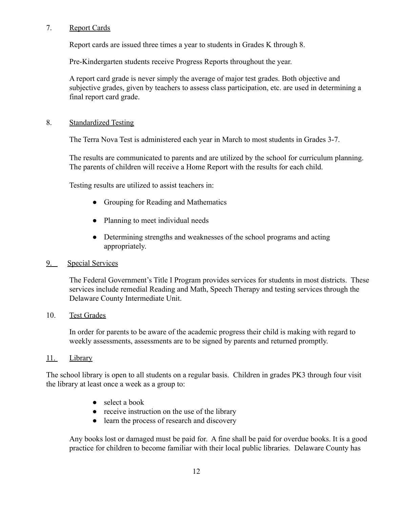## 7. Report Cards

Report cards are issued three times a year to students in Grades K through 8.

Pre-Kindergarten students receive Progress Reports throughout the year.

A report card grade is never simply the average of major test grades. Both objective and subjective grades, given by teachers to assess class participation, etc. are used in determining a final report card grade.

## 8. Standardized Testing

The Terra Nova Test is administered each year in March to most students in Grades 3-7.

The results are communicated to parents and are utilized by the school for curriculum planning. The parents of children will receive a Home Report with the results for each child.

Testing results are utilized to assist teachers in:

- Grouping for Reading and Mathematics
- Planning to meet individual needs
- Determining strengths and weaknesses of the school programs and acting appropriately.

# 9. Special Services

The Federal Government's Title I Program provides services for students in most districts. These services include remedial Reading and Math, Speech Therapy and testing services through the Delaware County Intermediate Unit.

## 10. Test Grades

In order for parents to be aware of the academic progress their child is making with regard to weekly assessments, assessments are to be signed by parents and returned promptly.

## 11. Library

The school library is open to all students on a regular basis. Children in grades PK3 through four visit the library at least once a week as a group to:

- select a book
- receive instruction on the use of the library
- learn the process of research and discovery

Any books lost or damaged must be paid for. A fine shall be paid for overdue books. It is a good practice for children to become familiar with their local public libraries. Delaware County has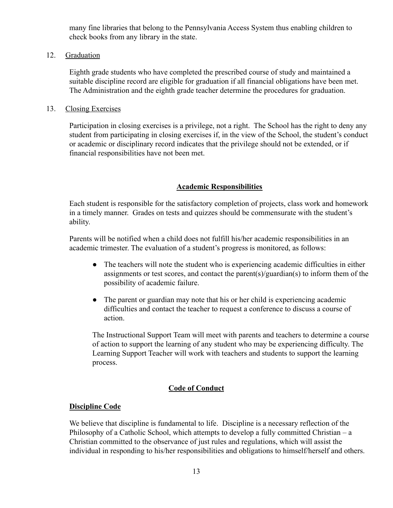many fine libraries that belong to the Pennsylvania Access System thus enabling children to check books from any library in the state.

#### 12. Graduation

Eighth grade students who have completed the prescribed course of study and maintained a suitable discipline record are eligible for graduation if all financial obligations have been met. The Administration and the eighth grade teacher determine the procedures for graduation.

#### 13. Closing Exercises

Participation in closing exercises is a privilege, not a right. The School has the right to deny any student from participating in closing exercises if, in the view of the School, the student's conduct or academic or disciplinary record indicates that the privilege should not be extended, or if financial responsibilities have not been met.

## **Academic Responsibilities**

Each student is responsible for the satisfactory completion of projects, class work and homework in a timely manner. Grades on tests and quizzes should be commensurate with the student's ability.

Parents will be notified when a child does not fulfill his/her academic responsibilities in an academic trimester. The evaluation of a student's progress is monitored, as follows:

- The teachers will note the student who is experiencing academic difficulties in either assignments or test scores, and contact the parent(s)/guardian(s) to inform them of the possibility of academic failure.
- The parent or guardian may note that his or her child is experiencing academic difficulties and contact the teacher to request a conference to discuss a course of action.

The Instructional Support Team will meet with parents and teachers to determine a course of action to support the learning of any student who may be experiencing difficulty. The Learning Support Teacher will work with teachers and students to support the learning process.

## **Code of Conduct**

## **Discipline Code**

We believe that discipline is fundamental to life. Discipline is a necessary reflection of the Philosophy of a Catholic School, which attempts to develop a fully committed Christian – a Christian committed to the observance of just rules and regulations, which will assist the individual in responding to his/her responsibilities and obligations to himself/herself and others.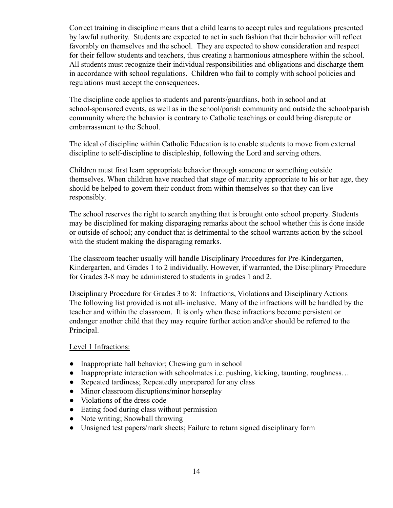Correct training in discipline means that a child learns to accept rules and regulations presented by lawful authority. Students are expected to act in such fashion that their behavior will reflect favorably on themselves and the school. They are expected to show consideration and respect for their fellow students and teachers, thus creating a harmonious atmosphere within the school. All students must recognize their individual responsibilities and obligations and discharge them in accordance with school regulations. Children who fail to comply with school policies and regulations must accept the consequences.

The discipline code applies to students and parents/guardians, both in school and at school-sponsored events, as well as in the school/parish community and outside the school/parish community where the behavior is contrary to Catholic teachings or could bring disrepute or embarrassment to the School.

The ideal of discipline within Catholic Education is to enable students to move from external discipline to self-discipline to discipleship, following the Lord and serving others.

Children must first learn appropriate behavior through someone or something outside themselves. When children have reached that stage of maturity appropriate to his or her age, they should be helped to govern their conduct from within themselves so that they can live responsibly.

The school reserves the right to search anything that is brought onto school property. Students may be disciplined for making disparaging remarks about the school whether this is done inside or outside of school; any conduct that is detrimental to the school warrants action by the school with the student making the disparaging remarks.

The classroom teacher usually will handle Disciplinary Procedures for Pre-Kindergarten, Kindergarten, and Grades 1 to 2 individually. However, if warranted, the Disciplinary Procedure for Grades 3-8 may be administered to students in grades 1 and 2.

Disciplinary Procedure for Grades 3 to 8: Infractions, Violations and Disciplinary Actions The following list provided is not all- inclusive. Many of the infractions will be handled by the teacher and within the classroom. It is only when these infractions become persistent or endanger another child that they may require further action and/or should be referred to the Principal.

## Level 1 Infractions:

- Inappropriate hall behavior; Chewing gum in school
- Inappropriate interaction with schoolmates i.e. pushing, kicking, taunting, roughness...
- Repeated tardiness; Repeatedly unprepared for any class
- Minor classroom disruptions/minor horseplay
- Violations of the dress code
- Eating food during class without permission
- Note writing; Snowball throwing
- Unsigned test papers/mark sheets; Failure to return signed disciplinary form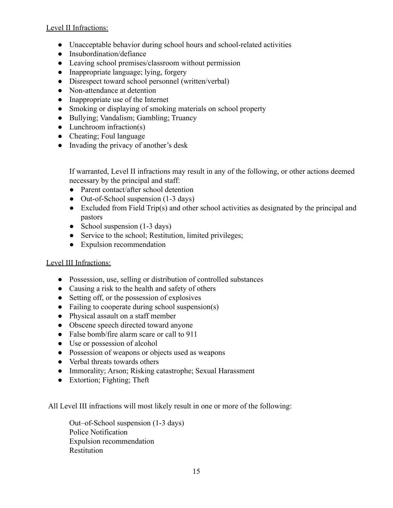Level II Infractions:

- Unacceptable behavior during school hours and school-related activities
- Insubordination/defiance
- Leaving school premises/classroom without permission
- Inappropriate language; lying, forgery
- Disrespect toward school personnel (written/verbal)
- Non-attendance at detention
- Inappropriate use of the Internet
- Smoking or displaying of smoking materials on school property
- Bullying; Vandalism; Gambling; Truancy
- $\bullet$  Lunchroom infraction(s)
- Cheating; Foul language
- Invading the privacy of another's desk

If warranted, Level II infractions may result in any of the following, or other actions deemed necessary by the principal and staff:

- Parent contact/after school detention
- Out-of-School suspension (1-3 days)
- Excluded from Field Trip(s) and other school activities as designated by the principal and pastors
- School suspension  $(1-3 \text{ days})$
- Service to the school; Restitution, limited privileges;
- Expulsion recommendation

## Level III Infractions:

- Possession, use, selling or distribution of controlled substances
- Causing a risk to the health and safety of others
- Setting off, or the possession of explosives
- $\bullet$  Failing to cooperate during school suspension(s)
- Physical assault on a staff member
- Obscene speech directed toward anyone
- False bomb/fire alarm scare or call to 911
- Use or possession of alcohol
- Possession of weapons or objects used as weapons
- Verbal threats towards others
- Immorality; Arson; Risking catastrophe; Sexual Harassment
- Extortion; Fighting; Theft

All Level III infractions will most likely result in one or more of the following:

Out–of-School suspension (1-3 days) Police Notification Expulsion recommendation Restitution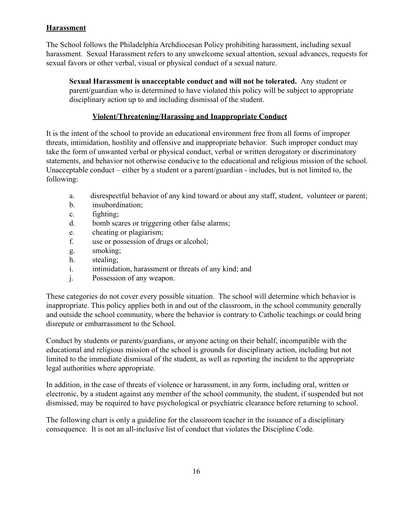# **Harassment**

The School follows the Philadelphia Archdiocesan Policy prohibiting harassment, including sexual harassment. Sexual Harassment refers to any unwelcome sexual attention, sexual advances, requests for sexual favors or other verbal, visual or physical conduct of a sexual nature.

**Sexual Harassment is unacceptable conduct and will not be tolerated.** Any student or parent/guardian who is determined to have violated this policy will be subject to appropriate disciplinary action up to and including dismissal of the student.

# **Violent/Threatening/Harassing and Inappropriate Conduct**

It is the intent of the school to provide an educational environment free from all forms of improper threats, intimidation, hostility and offensive and inappropriate behavior. Such improper conduct may take the form of unwanted verbal or physical conduct, verbal or written derogatory or discriminatory statements, and behavior not otherwise conducive to the educational and religious mission of the school. Unacceptable conduct – either by a student or a parent/guardian - includes, but is not limited to, the following:

- a. disrespectful behavior of any kind toward or about any staff, student, volunteer or parent;
- b. insubordination;
- c. fighting;
- d. bomb scares or triggering other false alarms;
- e. cheating or plagiarism;
- f. use or possession of drugs or alcohol;
- g. smoking;
- h. stealing;
- i. intimidation, harassment or threats of any kind; and
- j. Possession of any weapon.

These categories do not cover every possible situation. The school will determine which behavior is inappropriate. This policy applies both in and out of the classroom, in the school community generally and outside the school community, where the behavior is contrary to Catholic teachings or could bring disrepute or embarrassment to the School.

Conduct by students or parents/guardians, or anyone acting on their behalf, incompatible with the educational and religious mission of the school is grounds for disciplinary action, including but not limited to the immediate dismissal of the student, as well as reporting the incident to the appropriate legal authorities where appropriate.

In addition, in the case of threats of violence or harassment, in any form, including oral, written or electronic, by a student against any member of the school community, the student, if suspended but not dismissed, may be required to have psychological or psychiatric clearance before returning to school.

The following chart is only a guideline for the classroom teacher in the issuance of a disciplinary consequence. It is not an all-inclusive list of conduct that violates the Discipline Code.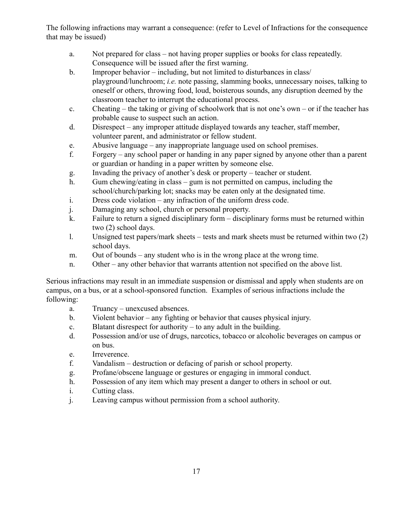The following infractions may warrant a consequence: (refer to Level of Infractions for the consequence that may be issued)

- a. Not prepared for class not having proper supplies or books for class repeatedly. Consequence will be issued after the first warning.
- b. Improper behavior including, but not limited to disturbances in class/ playground/lunchroom; *i.e.* note passing, slamming books, unnecessary noises, talking to oneself or others, throwing food, loud, boisterous sounds, any disruption deemed by the classroom teacher to interrupt the educational process.
- c. Cheating the taking or giving of schoolwork that is not one's own or if the teacher has probable cause to suspect such an action.
- d. Disrespect any improper attitude displayed towards any teacher, staff member, volunteer parent, and administrator or fellow student.
- e. Abusive language any inappropriate language used on school premises.
- f. Forgery any school paper or handing in any paper signed by anyone other than a parent or guardian or handing in a paper written by someone else.
- g. Invading the privacy of another's desk or property teacher or student.
- h. Gum chewing/eating in class gum is not permitted on campus, including the school/church/parking lot; snacks may be eaten only at the designated time.
- i. Dress code violation any infraction of the uniform dress code.
- j. Damaging any school, church or personal property.
- k. Failure to return a signed disciplinary form disciplinary forms must be returned within two (2) school days.
- l. Unsigned test papers/mark sheets tests and mark sheets must be returned within two (2) school days.
- m. Out of bounds any student who is in the wrong place at the wrong time.
- n. Other any other behavior that warrants attention not specified on the above list.

Serious infractions may result in an immediate suspension or dismissal and apply when students are on campus, on a bus, or at a school-sponsored function. Examples of serious infractions include the following:

- a. Truancy unexcused absences.
- b. Violent behavior any fighting or behavior that causes physical injury.
- c. Blatant disrespect for authority to any adult in the building.
- d. Possession and/or use of drugs, narcotics, tobacco or alcoholic beverages on campus or on bus.
- e. Irreverence.
- f. Vandalism destruction or defacing of parish or school property.
- g. Profane/obscene language or gestures or engaging in immoral conduct.
- h. Possession of any item which may present a danger to others in school or out.
- i. Cutting class.
- j. Leaving campus without permission from a school authority.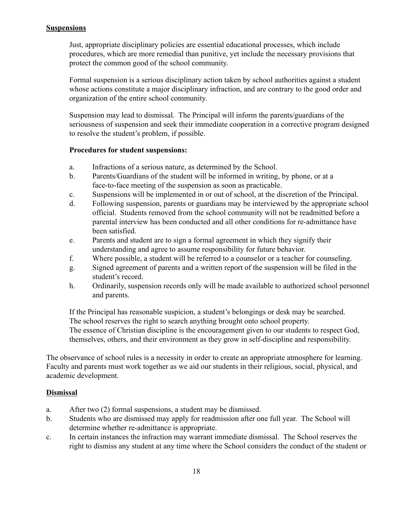## **Suspensions**

Just, appropriate disciplinary policies are essential educational processes, which include procedures, which are more remedial than punitive, yet include the necessary provisions that protect the common good of the school community.

Formal suspension is a serious disciplinary action taken by school authorities against a student whose actions constitute a major disciplinary infraction, and are contrary to the good order and organization of the entire school community.

Suspension may lead to dismissal. The Principal will inform the parents/guardians of the seriousness of suspension and seek their immediate cooperation in a corrective program designed to resolve the student's problem, if possible.

#### **Procedures for student suspensions:**

- a. Infractions of a serious nature, as determined by the School.
- b. Parents/Guardians of the student will be informed in writing, by phone, or at a face-to-face meeting of the suspension as soon as practicable.
- c. Suspensions will be implemented in or out of school, at the discretion of the Principal.
- d. Following suspension, parents or guardians may be interviewed by the appropriate school official. Students removed from the school community will not be readmitted before a parental interview has been conducted and all other conditions for re-admittance have been satisfied.
- e. Parents and student are to sign a formal agreement in which they signify their understanding and agree to assume responsibility for future behavior.
- f. Where possible, a student will be referred to a counselor or a teacher for counseling.
- g. Signed agreement of parents and a written report of the suspension will be filed in the student's record.
- h. Ordinarily, suspension records only will be made available to authorized school personnel and parents.

If the Principal has reasonable suspicion, a student's belongings or desk may be searched. The school reserves the right to search anything brought onto school property. The essence of Christian discipline is the encouragement given to our students to respect God, themselves, others, and their environment as they grow in self-discipline and responsibility.

The observance of school rules is a necessity in order to create an appropriate atmosphere for learning. Faculty and parents must work together as we aid our students in their religious, social, physical, and academic development.

## **Dismissal**

- a. After two (2) formal suspensions, a student may be dismissed.
- b. Students who are dismissed may apply for readmission after one full year. The School will determine whether re-admittance is appropriate.
- c. In certain instances the infraction may warrant immediate dismissal. The School reserves the right to dismiss any student at any time where the School considers the conduct of the student or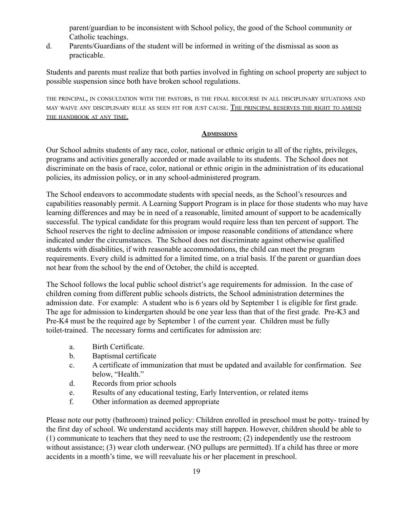parent/guardian to be inconsistent with School policy, the good of the School community or Catholic teachings.

d. Parents/Guardians of the student will be informed in writing of the dismissal as soon as practicable.

Students and parents must realize that both parties involved in fighting on school property are subject to possible suspension since both have broken school regulations.

THE PRINCIPAL, IN CONSULTATION WITH THE PASTORS, IS THE FINAL RECOURSE IN ALL DISCIPLINARY SITUATIONS AND MAY WAIVE ANY DISCIPLINARY RULE AS SEEN FIT FOR JUST CAUSE. THE PRINCIPAL RESERVES THE RIGHT TO AMEND THE HANDBOOK AT ANY TIME.

## **ADMISSIONS**

Our School admits students of any race, color, national or ethnic origin to all of the rights, privileges, programs and activities generally accorded or made available to its students. The School does not discriminate on the basis of race, color, national or ethnic origin in the administration of its educational policies, its admission policy, or in any school-administered program.

The School endeavors to accommodate students with special needs, as the School's resources and capabilities reasonably permit. A Learning Support Program is in place for those students who may have learning differences and may be in need of a reasonable, limited amount of support to be academically successful. The typical candidate for this program would require less than ten percent of support. The School reserves the right to decline admission or impose reasonable conditions of attendance where indicated under the circumstances. The School does not discriminate against otherwise qualified students with disabilities, if with reasonable accommodations, the child can meet the program requirements. Every child is admitted for a limited time, on a trial basis. If the parent or guardian does not hear from the school by the end of October, the child is accepted.

The School follows the local public school district's age requirements for admission. In the case of children coming from different public schools districts, the School administration determines the admission date. For example: A student who is 6 years old by September 1 is eligible for first grade. The age for admission to kindergarten should be one year less than that of the first grade. Pre-K3 and Pre-K4 must be the required age by September 1 of the current year. Children must be fully toilet-trained. The necessary forms and certificates for admission are:

- a. Birth Certificate.
- b. Baptismal certificate
- c. A certificate of immunization that must be updated and available for confirmation. See below, "Health."
- d. Records from prior schools
- e. Results of any educational testing, Early Intervention, or related items
- f. Other information as deemed appropriate

Please note our potty (bathroom) trained policy: Children enrolled in preschool must be potty- trained by the first day of school. We understand accidents may still happen. However, children should be able to (1) communicate to teachers that they need to use the restroom; (2) independently use the restroom without assistance; (3) wear cloth underwear. (NO pullups are permitted). If a child has three or more accidents in a month's time, we will reevaluate his or her placement in preschool.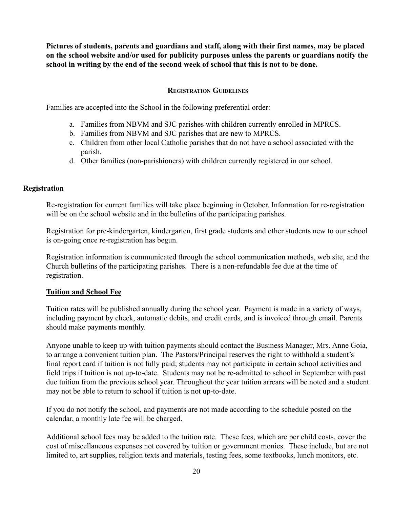**Pictures of students, parents and guardians and staff, along with their first names, may be placed on the school website and/or used for publicity purposes unless the parents or guardians notify the school in writing by the end of the second week of school that this is not to be done.**

## **REGISTRATION GUIDELINES**

Families are accepted into the School in the following preferential order:

- a. Families from NBVM and SJC parishes with children currently enrolled in MPRCS.
- b. Families from NBVM and SJC parishes that are new to MPRCS.
- c. Children from other local Catholic parishes that do not have a school associated with the parish.
- d. Other families (non-parishioners) with children currently registered in our school.

#### **Registration**

Re-registration for current families will take place beginning in October. Information for re-registration will be on the school website and in the bulletins of the participating parishes.

Registration for pre-kindergarten, kindergarten, first grade students and other students new to our school is on-going once re-registration has begun.

Registration information is communicated through the school communication methods, web site, and the Church bulletins of the participating parishes. There is a non-refundable fee due at the time of registration.

#### **Tuition and School Fee**

Tuition rates will be published annually during the school year. Payment is made in a variety of ways, including payment by check, automatic debits, and credit cards, and is invoiced through email. Parents should make payments monthly.

Anyone unable to keep up with tuition payments should contact the Business Manager, Mrs. Anne Goia, to arrange a convenient tuition plan. The Pastors/Principal reserves the right to withhold a student's final report card if tuition is not fully paid; students may not participate in certain school activities and field trips if tuition is not up-to-date. Students may not be re-admitted to school in September with past due tuition from the previous school year. Throughout the year tuition arrears will be noted and a student may not be able to return to school if tuition is not up-to-date.

If you do not notify the school, and payments are not made according to the schedule posted on the calendar, a monthly late fee will be charged.

Additional school fees may be added to the tuition rate. These fees, which are per child costs, cover the cost of miscellaneous expenses not covered by tuition or government monies. These include, but are not limited to, art supplies, religion texts and materials, testing fees, some textbooks, lunch monitors, etc.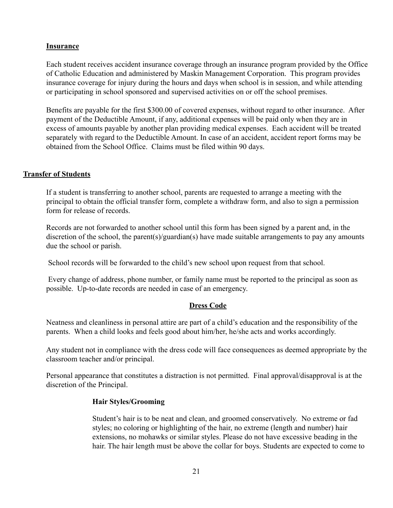## **Insurance**

Each student receives accident insurance coverage through an insurance program provided by the Office of Catholic Education and administered by Maskin Management Corporation. This program provides insurance coverage for injury during the hours and days when school is in session, and while attending or participating in school sponsored and supervised activities on or off the school premises.

Benefits are payable for the first \$300.00 of covered expenses, without regard to other insurance. After payment of the Deductible Amount, if any, additional expenses will be paid only when they are in excess of amounts payable by another plan providing medical expenses. Each accident will be treated separately with regard to the Deductible Amount. In case of an accident, accident report forms may be obtained from the School Office. Claims must be filed within 90 days.

## **Transfer of Students**

If a student is transferring to another school, parents are requested to arrange a meeting with the principal to obtain the official transfer form, complete a withdraw form, and also to sign a permission form for release of records.

Records are not forwarded to another school until this form has been signed by a parent and, in the discretion of the school, the parent(s)/guardian(s) have made suitable arrangements to pay any amounts due the school or parish.

School records will be forwarded to the child's new school upon request from that school.

Every change of address, phone number, or family name must be reported to the principal as soon as possible. Up-to-date records are needed in case of an emergency.

## **Dress Code**

Neatness and cleanliness in personal attire are part of a child's education and the responsibility of the parents. When a child looks and feels good about him/her, he/she acts and works accordingly.

Any student not in compliance with the dress code will face consequences as deemed appropriate by the classroom teacher and/or principal.

Personal appearance that constitutes a distraction is not permitted. Final approval/disapproval is at the discretion of the Principal.

#### **Hair Styles/Grooming**

Student's hair is to be neat and clean, and groomed conservatively. No extreme or fad styles; no coloring or highlighting of the hair, no extreme (length and number) hair extensions, no mohawks or similar styles. Please do not have excessive beading in the hair. The hair length must be above the collar for boys. Students are expected to come to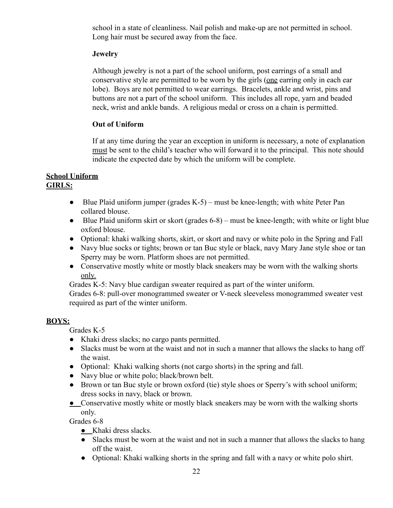school in a state of cleanliness. Nail polish and make-up are not permitted in school. Long hair must be secured away from the face.

## **Jewelry**

Although jewelry is not a part of the school uniform, post earrings of a small and conservative style are permitted to be worn by the girls (one earring only in each ear lobe). Boys are not permitted to wear earrings. Bracelets, ankle and wrist, pins and buttons are not a part of the school uniform. This includes all rope, yarn and beaded neck, wrist and ankle bands. A religious medal or cross on a chain is permitted.

## **Out of Uniform**

If at any time during the year an exception in uniform is necessary, a note of explanation must be sent to the child's teacher who will forward it to the principal. This note should indicate the expected date by which the uniform will be complete.

#### **School Uniform GIRLS:**

- $\bullet$  Blue Plaid uniform jumper (grades K-5) must be knee-length; with white Peter Pan collared blouse.
- Blue Plaid uniform skirt or skort (grades 6-8) must be knee-length; with white or light blue oxford blouse.
- Optional: khaki walking shorts, skirt, or skort and navy or white polo in the Spring and Fall
- Navy blue socks or tights; brown or tan Buc style or black, navy Mary Jane style shoe or tan Sperry may be worn. Platform shoes are not permitted.
- Conservative mostly white or mostly black sneakers may be worn with the walking shorts only.

Grades K-5: Navy blue cardigan sweater required as part of the winter uniform.

Grades 6-8: pull-over monogrammed sweater or V-neck sleeveless monogrammed sweater vest required as part of the winter uniform.

## **BOYS:**

Grades K-5

- Khaki dress slacks; no cargo pants permitted.
- Slacks must be worn at the waist and not in such a manner that allows the slacks to hang off the waist.
- Optional: Khaki walking shorts (not cargo shorts) in the spring and fall.
- Navy blue or white polo; black/brown belt.
- Brown or tan Buc style or brown oxford (tie) style shoes or Sperry's with school uniform; dress socks in navy, black or brown.
- Conservative mostly white or mostly black sneakers may be worn with the walking shorts only.

Grades 6-8

- Khaki dress slacks.
- Slacks must be worn at the waist and not in such a manner that allows the slacks to hang off the waist.
- Optional: Khaki walking shorts in the spring and fall with a navy or white polo shirt.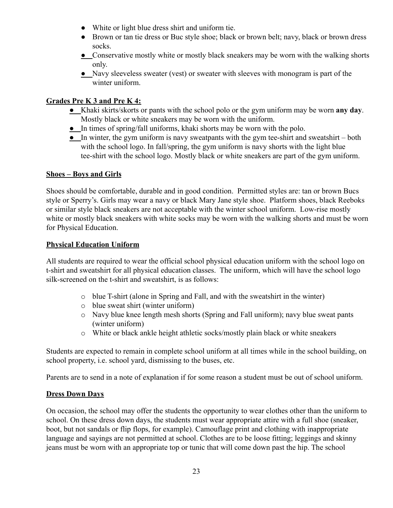- White or light blue dress shirt and uniform tie.
- Brown or tan tie dress or Buc style shoe; black or brown belt; navy, black or brown dress socks.
- Conservative mostly white or mostly black sneakers may be worn with the walking shorts only.
- Navy sleeveless sweater (vest) or sweater with sleeves with monogram is part of the winter uniform.

# **Grades Pre K 3 and Pre K 4:**

- Khaki skirts/skorts or pants with the school polo or the gym uniform may be worn **any day**. Mostly black or white sneakers may be worn with the uniform.
- In times of spring/fall uniforms, khaki shorts may be worn with the polo.
- In winter, the gym uniform is navy sweatpants with the gym tee-shirt and sweatshirt both with the school logo. In fall/spring, the gym uniform is navy shorts with the light blue tee-shirt with the school logo. Mostly black or white sneakers are part of the gym uniform.

## **Shoes – Boys and Girls**

Shoes should be comfortable, durable and in good condition. Permitted styles are: tan or brown Bucs style or Sperry's. Girls may wear a navy or black Mary Jane style shoe. Platform shoes, black Reeboks or similar style black sneakers are not acceptable with the winter school uniform. Low-rise mostly white or mostly black sneakers with white socks may be worn with the walking shorts and must be worn for Physical Education.

## **Physical Education Uniform**

All students are required to wear the official school physical education uniform with the school logo on t-shirt and sweatshirt for all physical education classes. The uniform, which will have the school logo silk-screened on the t-shirt and sweatshirt, is as follows:

- o blue T-shirt (alone in Spring and Fall, and with the sweatshirt in the winter)
- o blue sweat shirt (winter uniform)
- o Navy blue knee length mesh shorts (Spring and Fall uniform); navy blue sweat pants (winter uniform)
- o White or black ankle height athletic socks/mostly plain black or white sneakers

Students are expected to remain in complete school uniform at all times while in the school building, on school property, i.e. school yard, dismissing to the buses, etc.

Parents are to send in a note of explanation if for some reason a student must be out of school uniform.

# **Dress Down Days**

On occasion, the school may offer the students the opportunity to wear clothes other than the uniform to school. On these dress down days, the students must wear appropriate attire with a full shoe (sneaker, boot, but not sandals or flip flops, for example). Camouflage print and clothing with inappropriate language and sayings are not permitted at school. Clothes are to be loose fitting; leggings and skinny jeans must be worn with an appropriate top or tunic that will come down past the hip. The school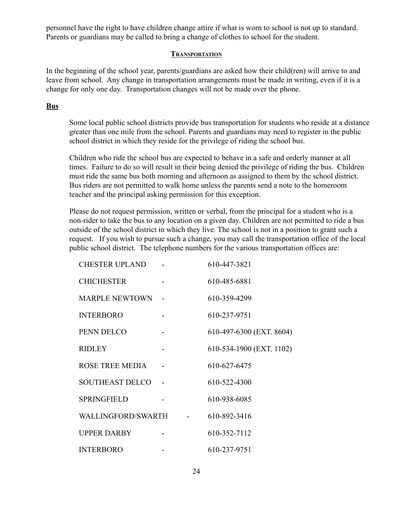personnel have the right to have children change attire if what is worn to school is not up to standard. Parents or guardians may be called to bring a change of clothes to school for the student.

#### **TRANSPORTATION**

In the beginning of the school year, parents/guardians are asked how their child(ren) will arrive to and leave from school. Any change in transportation arrangements must be made in writing, even if it is a change for only one day. Transportation changes will not be made over the phone.

## **Bus**

Some local public school districts provide bus transportation for students who reside at a distance greater than one mile from the school. Parents and guardians may need to register in the public school district in which they reside for the privilege of riding the school bus.

Children who ride the school bus are expected to behave in a safe and orderly manner at all times. Failure to do so will result in their being denied the privilege of riding the bus. Children must ride the same bus both morning and afternoon as assigned to them by the school district. Bus riders are not permitted to walk home unless the parents send a note to the homeroom teacher and the principal asking permission for this exception.

Please do not request permission, written or verbal, from the principal for a student who is a non-rider to take the bus to any location on a given day. Children are not permitted to ride a bus outside of the school district in which they live. The school is not in a position to grant such a request. If you wish to pursue such a change, you may call the transportation office of the local public school district. The telephone numbers for the various transportation offices are:

| <b>CHESTER UPLAND</b>  |                     | 610-447-3821             |
|------------------------|---------------------|--------------------------|
| <b>CHICHESTER</b>      |                     | 610-485-6881             |
| <b>MARPLE NEWTOWN</b>  |                     | 610-359-4299             |
| <b>INTERBORO</b>       |                     | 610-237-9751             |
| PENN DELCO             |                     | 610-497-6300 (EXT. 8604) |
| <b>RIDLEY</b>          |                     | 610-534-1900 (EXT. 1102) |
| <b>ROSE TREE MEDIA</b> |                     | 610-627-6475             |
| <b>SOUTHEAST DELCO</b> |                     | 610-522-4300             |
| <b>SPRINGFIELD</b>     |                     | 610-938-6085             |
| WALLINGFORD/SWARTH     | $\omega_{\rm{max}}$ | 610-892-3416             |
| <b>UPPER DARBY</b>     |                     | 610-352-7112             |
| <b>INTERBORO</b>       |                     | 610-237-9751             |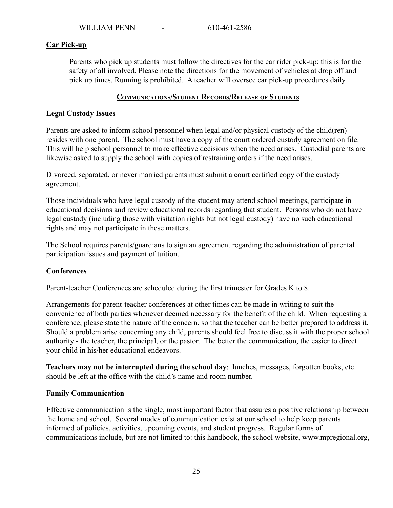## **Car Pick-up**

Parents who pick up students must follow the directives for the car rider pick-up; this is for the safety of all involved. Please note the directions for the movement of vehicles at drop off and pick up times. Running is prohibited. A teacher will oversee car pick-up procedures daily.

#### **COMMUNICATIONS/STUDENT RECORDS/RELEASE OF STUDENTS**

#### **Legal Custody Issues**

Parents are asked to inform school personnel when legal and/or physical custody of the child(ren) resides with one parent. The school must have a copy of the court ordered custody agreement on file. This will help school personnel to make effective decisions when the need arises. Custodial parents are likewise asked to supply the school with copies of restraining orders if the need arises.

Divorced, separated, or never married parents must submit a court certified copy of the custody agreement.

Those individuals who have legal custody of the student may attend school meetings, participate in educational decisions and review educational records regarding that student. Persons who do not have legal custody (including those with visitation rights but not legal custody) have no such educational rights and may not participate in these matters.

The School requires parents/guardians to sign an agreement regarding the administration of parental participation issues and payment of tuition.

## **Conferences**

Parent-teacher Conferences are scheduled during the first trimester for Grades K to 8.

Arrangements for parent-teacher conferences at other times can be made in writing to suit the convenience of both parties whenever deemed necessary for the benefit of the child. When requesting a conference, please state the nature of the concern, so that the teacher can be better prepared to address it. Should a problem arise concerning any child, parents should feel free to discuss it with the proper school authority - the teacher, the principal, or the pastor. The better the communication, the easier to direct your child in his/her educational endeavors.

**Teachers may not be interrupted during the school day**: lunches, messages, forgotten books, etc. should be left at the office with the child's name and room number.

#### **Family Communication**

Effective communication is the single, most important factor that assures a positive relationship between the home and school. Several modes of communication exist at our school to help keep parents informed of policies, activities, upcoming events, and student progress. Regular forms of communications include, but are not limited to: this handbook, the school website, www.mpregional.org,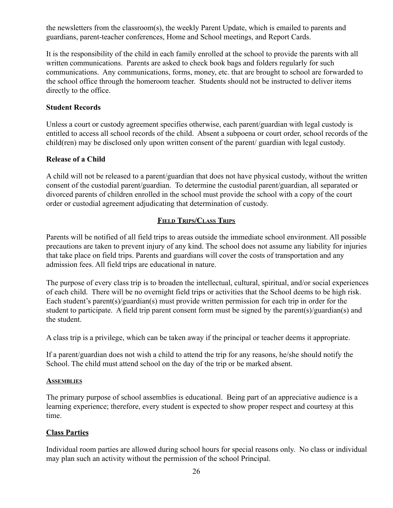the newsletters from the classroom(s), the weekly Parent Update, which is emailed to parents and guardians, parent-teacher conferences, Home and School meetings, and Report Cards.

It is the responsibility of the child in each family enrolled at the school to provide the parents with all written communications. Parents are asked to check book bags and folders regularly for such communications. Any communications, forms, money, etc. that are brought to school are forwarded to the school office through the homeroom teacher. Students should not be instructed to deliver items directly to the office.

## **Student Records**

Unless a court or custody agreement specifies otherwise, each parent/guardian with legal custody is entitled to access all school records of the child. Absent a subpoena or court order, school records of the child(ren) may be disclosed only upon written consent of the parent/ guardian with legal custody.

## **Release of a Child**

A child will not be released to a parent/guardian that does not have physical custody, without the written consent of the custodial parent/guardian. To determine the custodial parent/guardian, all separated or divorced parents of children enrolled in the school must provide the school with a copy of the court order or custodial agreement adjudicating that determination of custody.

# **FIELD TRIPS/CLASS TRIPS**

Parents will be notified of all field trips to areas outside the immediate school environment. All possible precautions are taken to prevent injury of any kind. The school does not assume any liability for injuries that take place on field trips. Parents and guardians will cover the costs of transportation and any admission fees. All field trips are educational in nature.

The purpose of every class trip is to broaden the intellectual, cultural, spiritual, and/or social experiences of each child. There will be no overnight field trips or activities that the School deems to be high risk. Each student's parent(s)/guardian(s) must provide written permission for each trip in order for the student to participate. A field trip parent consent form must be signed by the parent(s)/guardian(s) and the student.

A class trip is a privilege, which can be taken away if the principal or teacher deems it appropriate.

If a parent/guardian does not wish a child to attend the trip for any reasons, he/she should notify the School. The child must attend school on the day of the trip or be marked absent.

## **ASSEMBLIES**

The primary purpose of school assemblies is educational. Being part of an appreciative audience is a learning experience; therefore, every student is expected to show proper respect and courtesy at this time.

## **Class Parties**

Individual room parties are allowed during school hours for special reasons only. No class or individual may plan such an activity without the permission of the school Principal.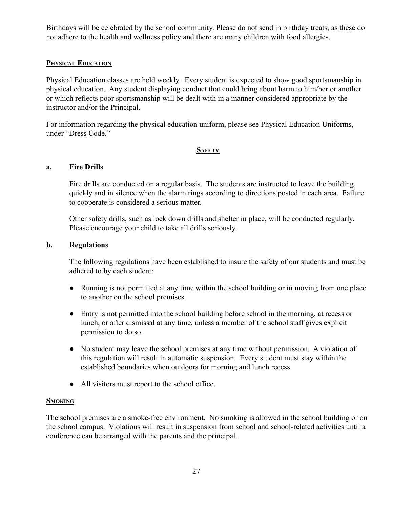Birthdays will be celebrated by the school community. Please do not send in birthday treats, as these do not adhere to the health and wellness policy and there are many children with food allergies.

#### **PHYSICAL EDUCATION**

Physical Education classes are held weekly. Every student is expected to show good sportsmanship in physical education. Any student displaying conduct that could bring about harm to him/her or another or which reflects poor sportsmanship will be dealt with in a manner considered appropriate by the instructor and/or the Principal.

For information regarding the physical education uniform, please see Physical Education Uniforms, under "Dress Code."

#### **SAFETY**

#### **a. Fire Drills**

Fire drills are conducted on a regular basis. The students are instructed to leave the building quickly and in silence when the alarm rings according to directions posted in each area. Failure to cooperate is considered a serious matter.

Other safety drills, such as lock down drills and shelter in place, will be conducted regularly. Please encourage your child to take all drills seriously.

#### **b. Regulations**

The following regulations have been established to insure the safety of our students and must be adhered to by each student:

- Running is not permitted at any time within the school building or in moving from one place to another on the school premises.
- Entry is not permitted into the school building before school in the morning, at recess or lunch, or after dismissal at any time, unless a member of the school staff gives explicit permission to do so.
- No student may leave the school premises at any time without permission. A violation of this regulation will result in automatic suspension. Every student must stay within the established boundaries when outdoors for morning and lunch recess.
- All visitors must report to the school office.

#### **SMOKING**

The school premises are a smoke-free environment. No smoking is allowed in the school building or on the school campus. Violations will result in suspension from school and school-related activities until a conference can be arranged with the parents and the principal.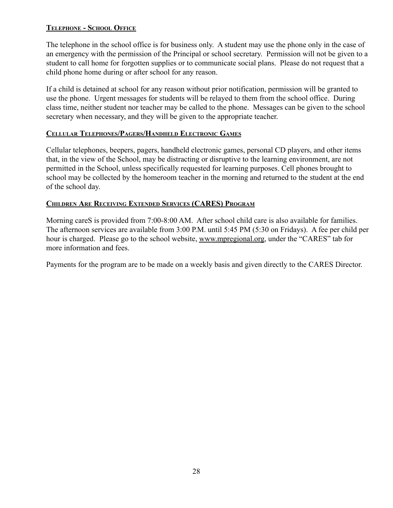## **TELEPHONE - SCHOOL OFFICE**

The telephone in the school office is for business only. A student may use the phone only in the case of an emergency with the permission of the Principal or school secretary. Permission will not be given to a student to call home for forgotten supplies or to communicate social plans. Please do not request that a child phone home during or after school for any reason.

If a child is detained at school for any reason without prior notification, permission will be granted to use the phone. Urgent messages for students will be relayed to them from the school office. During class time, neither student nor teacher may be called to the phone. Messages can be given to the school secretary when necessary, and they will be given to the appropriate teacher.

#### **CELLULAR TELEPHONES/PAGERS/HANDHELD ELECTRONIC GAMES**

Cellular telephones, beepers, pagers, handheld electronic games, personal CD players, and other items that, in the view of the School, may be distracting or disruptive to the learning environment, are not permitted in the School, unless specifically requested for learning purposes. Cell phones brought to school may be collected by the homeroom teacher in the morning and returned to the student at the end of the school day.

## **CHILDREN ARE RECEIVING EXTENDED SERVICES (CARES) PROGRAM**

Morning careS is provided from 7:00-8:00 AM. After school child care is also available for families. The afternoon services are available from 3:00 P.M. until 5:45 PM (5:30 on Fridays). A fee per child per hour is charged. Please go to the school website, [www.mpregional.org](http://www.mpregional.org), under the "CARES" tab for more information and fees.

Payments for the program are to be made on a weekly basis and given directly to the CARES Director.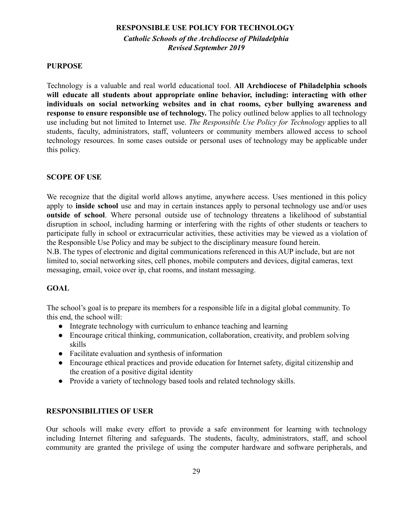# **RESPONSIBLE USE POLICY FOR TECHNOLOGY**

*Catholic Schools of the Archdiocese of Philadelphia Revised September 2019*

## **PURPOSE**

Technology is a valuable and real world educational tool. **All Archdiocese of Philadelphia schools will educate all students about appropriate online behavior, including: interacting with other individuals on social networking websites and in chat rooms, cyber bullying awareness and response to ensure responsible use of technology.** The policy outlined below applies to all technology use including but not limited to Internet use. *The Responsible Use Policy for Technology* applies to all students, faculty, administrators, staff, volunteers or community members allowed access to school technology resources. In some cases outside or personal uses of technology may be applicable under this policy.

## **SCOPE OF USE**

We recognize that the digital world allows anytime, anywhere access. Uses mentioned in this policy apply to **inside school** use and may in certain instances apply to personal technology use and/or uses **outside of school**. Where personal outside use of technology threatens a likelihood of substantial disruption in school, including harming or interfering with the rights of other students or teachers to participate fully in school or extracurricular activities, these activities may be viewed as a violation of the Responsible Use Policy and may be subject to the disciplinary measure found herein.

N.B. The types of electronic and digital communications referenced in this AUP include, but are not limited to, social networking sites, cell phones, mobile computers and devices, digital cameras, text messaging, email, voice over ip, chat rooms, and instant messaging.

# **GOAL**

The school's goal is to prepare its members for a responsible life in a digital global community. To this end, the school will:

- Integrate technology with curriculum to enhance teaching and learning
- Encourage critical thinking, communication, collaboration, creativity, and problem solving skills
- Facilitate evaluation and synthesis of information
- Encourage ethical practices and provide education for Internet safety, digital citizenship and the creation of a positive digital identity
- Provide a variety of technology based tools and related technology skills.

## **RESPONSIBILITIES OF USER**

Our schools will make every effort to provide a safe environment for learning with technology including Internet filtering and safeguards. The students, faculty, administrators, staff, and school community are granted the privilege of using the computer hardware and software peripherals, and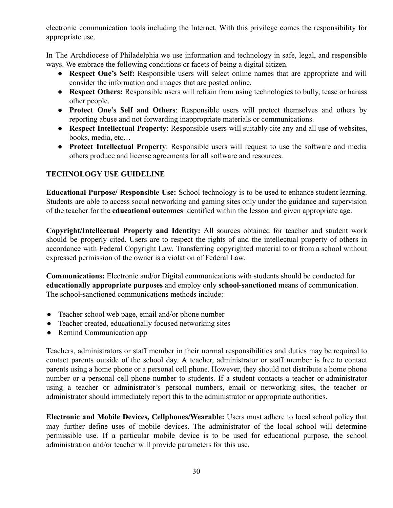electronic communication tools including the Internet. With this privilege comes the responsibility for appropriate use.

In The Archdiocese of Philadelphia we use information and technology in safe, legal, and responsible ways. We embrace the following conditions or facets of being a digital citizen.

- **Respect One's Self:** Responsible users will select online names that are appropriate and will consider the information and images that are posted online.
- **Respect Others:** Responsible users will refrain from using technologies to bully, tease or harass other people.
- **Protect One's Self and Others**: Responsible users will protect themselves and others by reporting abuse and not forwarding inappropriate materials or communications.
- **Respect Intellectual Property**: Responsible users will suitably cite any and all use of websites, books, media, etc…
- **Protect Intellectual Property**: Responsible users will request to use the software and media others produce and license agreements for all software and resources.

# **TECHNOLOGY USE GUIDELINE**

**Educational Purpose/ Responsible Use:** School technology is to be used to enhance student learning. Students are able to access social networking and gaming sites only under the guidance and supervision of the teacher for the **educational outcomes** identified within the lesson and given appropriate age.

**Copyright/Intellectual Property and Identity:** All sources obtained for teacher and student work should be properly cited. Users are to respect the rights of and the intellectual property of others in accordance with Federal Copyright Law. Transferring copyrighted material to or from a school without expressed permission of the owner is a violation of Federal Law.

**Communications:** Electronic and/or Digital communications with students should be conducted for **educationally appropriate purposes** and employ only **school-sanctioned** means of communication. The school**-**sanctioned communications methods include:

- Teacher school web page, email and/or phone number
- Teacher created, educationally focused networking sites
- Remind Communication app

Teachers, administrators or staff member in their normal responsibilities and duties may be required to contact parents outside of the school day. A teacher, administrator or staff member is free to contact parents using a home phone or a personal cell phone. However, they should not distribute a home phone number or a personal cell phone number to students. If a student contacts a teacher or administrator using a teacher or administrator's personal numbers, email or networking sites, the teacher or administrator should immediately report this to the administrator or appropriate authorities.

**Electronic and Mobile Devices, Cellphones/Wearable:** Users must adhere to local school policy that may further define uses of mobile devices. The administrator of the local school will determine permissible use. If a particular mobile device is to be used for educational purpose, the school administration and/or teacher will provide parameters for this use.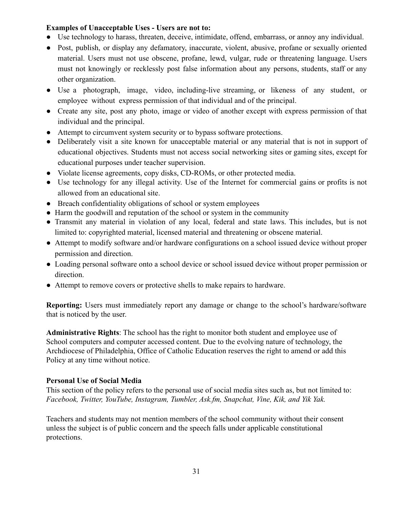#### **Examples of Unacceptable Uses - Users are not to:**

- Use technology to harass, threaten, deceive, intimidate, offend, embarrass, or annoy any individual.
- Post, publish, or display any defamatory, inaccurate, violent, abusive, profane or sexually oriented material. Users must not use obscene, profane, lewd, vulgar, rude or threatening language. Users must not knowingly or recklessly post false information about any persons, students, staff or any other organization.
- Use a photograph, image, video, including-live streaming, or likeness of any student, or employee without express permission of that individual and of the principal.
- Create any site, post any photo, image or video of another except with express permission of that individual and the principal.
- Attempt to circumvent system security or to bypass software protections.
- Deliberately visit a site known for unacceptable material or any material that is not in support of educational objectives. Students must not access social networking sites or gaming sites, except for educational purposes under teacher supervision.
- Violate license agreements, copy disks, CD-ROMs, or other protected media.
- Use technology for any illegal activity. Use of the Internet for commercial gains or profits is not allowed from an educational site.
- Breach confidentiality obligations of school or system employees
- Harm the goodwill and reputation of the school or system in the community
- Transmit any material in violation of any local, federal and state laws. This includes, but is not limited to: copyrighted material, licensed material and threatening or obscene material.
- Attempt to modify software and/or hardware configurations on a school issued device without proper permission and direction.
- Loading personal software onto a school device or school issued device without proper permission or direction.
- Attempt to remove covers or protective shells to make repairs to hardware.

**Reporting:** Users must immediately report any damage or change to the school's hardware/software that is noticed by the user.

**Administrative Rights**: The school has the right to monitor both student and employee use of School computers and computer accessed content. Due to the evolving nature of technology, the Archdiocese of Philadelphia, Office of Catholic Education reserves the right to amend or add this Policy at any time without notice.

## **Personal Use of Social Media**

This section of the policy refers to the personal use of social media sites such as, but not limited to: *Facebook, Twitter, YouTube, Instagram, Tumbler, Ask.fm, Snapchat, Vine, Kik, and Yik Yak.*

Teachers and students may not mention members of the school community without their consent unless the subject is of public concern and the speech falls under applicable constitutional protections.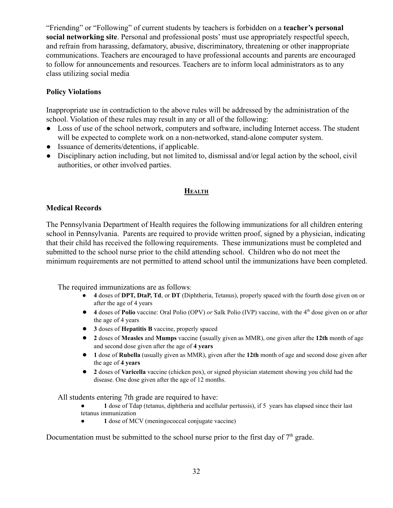"Friending" or "Following" of current students by teachers is forbidden on a **teacher's personal social networking site**. Personal and professional posts' must use appropriately respectful speech, and refrain from harassing, defamatory, abusive, discriminatory, threatening or other inappropriate communications. Teachers are encouraged to have professional accounts and parents are encouraged to follow for announcements and resources. Teachers are to inform local administrators as to any class utilizing social media

## **Policy Violations**

Inappropriate use in contradiction to the above rules will be addressed by the administration of the school. Violation of these rules may result in any or all of the following:

- Loss of use of the school network, computers and software, including Internet access. The student will be expected to complete work on a non-networked, stand-alone computer system.
- Issuance of demerits/detentions, if applicable.
- Disciplinary action including, but not limited to, dismissal and/or legal action by the school, civil authorities, or other involved parties.

## **HEALTH**

## **Medical Records**

The Pennsylvania Department of Health requires the following immunizations for all children entering school in Pennsylvania. Parents are required to provide written proof, signed by a physician, indicating that their child has received the following requirements. These immunizations must be completed and submitted to the school nurse prior to the child attending school. Children who do not meet the minimum requirements are not permitted to attend school until the immunizations have been completed.

The required immunizations are as follows:

- **4** doses of **DPT, DtaP, Td**, or **DT** (Diphtheria, Tetanus), properly spaced with the fourth dose given on or after the age of 4 years
- **4** doses of **Polio** vaccine: Oral Polio (OPV) *or* Salk Polio (IVP) vaccine, with the 4<sup>th</sup> dose given on or after the age of 4 years
- **3** doses of **Hepatitis B** vaccine, properly spaced
- **2** doses of **Measles** and **Mumps** vaccine (usually given as MMR), one given after the **12th** month of age and second dose given after the age of **4 years**
- **1** dose of **Rubella** (usually given as MMR), given after the **12th** month of age and second dose given after the age of **4 years**
- **2** doses of **Varicella** vaccine (chicken pox), or signed physician statement showing you child had the disease. One dose given after the age of 12 months.

All students entering 7th grade are required to have:

- 1 dose of Tdap (tetanus, diphtheria and acellular pertussis), if 5 years has elapsed since their last tetanus immunization
- **1** dose of MCV (meningococcal conjugate vaccine)

Documentation must be submitted to the school nurse prior to the first day of  $7<sup>th</sup>$  grade.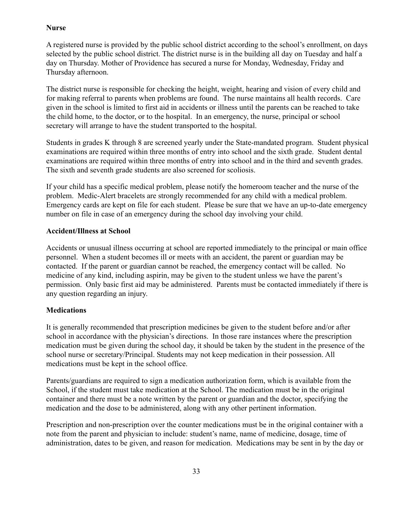## **Nurse**

A registered nurse is provided by the public school district according to the school's enrollment, on days selected by the public school district. The district nurse is in the building all day on Tuesday and half a day on Thursday. Mother of Providence has secured a nurse for Monday, Wednesday, Friday and Thursday afternoon.

The district nurse is responsible for checking the height, weight, hearing and vision of every child and for making referral to parents when problems are found. The nurse maintains all health records. Care given in the school is limited to first aid in accidents or illness until the parents can be reached to take the child home, to the doctor, or to the hospital. In an emergency, the nurse, principal or school secretary will arrange to have the student transported to the hospital.

Students in grades K through 8 are screened yearly under the State-mandated program. Student physical examinations are required within three months of entry into school and the sixth grade. Student dental examinations are required within three months of entry into school and in the third and seventh grades. The sixth and seventh grade students are also screened for scoliosis.

If your child has a specific medical problem, please notify the homeroom teacher and the nurse of the problem. Medic-Alert bracelets are strongly recommended for any child with a medical problem. Emergency cards are kept on file for each student. Please be sure that we have an up-to-date emergency number on file in case of an emergency during the school day involving your child.

## **Accident/Illness at School**

Accidents or unusual illness occurring at school are reported immediately to the principal or main office personnel. When a student becomes ill or meets with an accident, the parent or guardian may be contacted. If the parent or guardian cannot be reached, the emergency contact will be called. No medicine of any kind, including aspirin, may be given to the student unless we have the parent's permission. Only basic first aid may be administered. Parents must be contacted immediately if there is any question regarding an injury.

# **Medications**

It is generally recommended that prescription medicines be given to the student before and/or after school in accordance with the physician's directions. In those rare instances where the prescription medication must be given during the school day, it should be taken by the student in the presence of the school nurse or secretary/Principal. Students may not keep medication in their possession. All medications must be kept in the school office.

Parents/guardians are required to sign a medication authorization form, which is available from the School, if the student must take medication at the School. The medication must be in the original container and there must be a note written by the parent or guardian and the doctor, specifying the medication and the dose to be administered, along with any other pertinent information.

Prescription and non-prescription over the counter medications must be in the original container with a note from the parent and physician to include: student's name, name of medicine, dosage, time of administration, dates to be given, and reason for medication. Medications may be sent in by the day or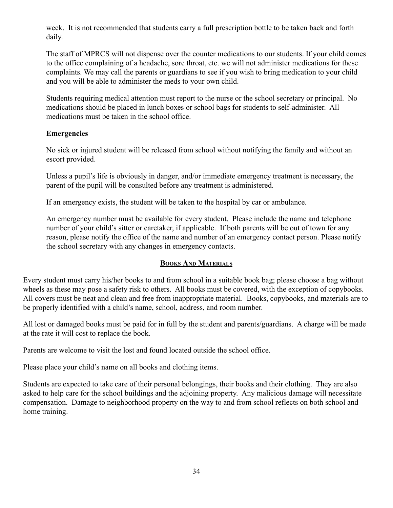week. It is not recommended that students carry a full prescription bottle to be taken back and forth daily.

The staff of MPRCS will not dispense over the counter medications to our students. If your child comes to the office complaining of a headache, sore throat, etc. we will not administer medications for these complaints. We may call the parents or guardians to see if you wish to bring medication to your child and you will be able to administer the meds to your own child.

Students requiring medical attention must report to the nurse or the school secretary or principal. No medications should be placed in lunch boxes or school bags for students to self-administer. All medications must be taken in the school office.

## **Emergencies**

No sick or injured student will be released from school without notifying the family and without an escort provided.

Unless a pupil's life is obviously in danger, and/or immediate emergency treatment is necessary, the parent of the pupil will be consulted before any treatment is administered.

If an emergency exists, the student will be taken to the hospital by car or ambulance.

An emergency number must be available for every student. Please include the name and telephone number of your child's sitter or caretaker, if applicable. If both parents will be out of town for any reason, please notify the office of the name and number of an emergency contact person. Please notify the school secretary with any changes in emergency contacts.

## **BOOKS AND MATERIALS**

Every student must carry his/her books to and from school in a suitable book bag; please choose a bag without wheels as these may pose a safety risk to others. All books must be covered, with the exception of copybooks. All covers must be neat and clean and free from inappropriate material. Books, copybooks, and materials are to be properly identified with a child's name, school, address, and room number.

All lost or damaged books must be paid for in full by the student and parents/guardians. A charge will be made at the rate it will cost to replace the book.

Parents are welcome to visit the lost and found located outside the school office.

Please place your child's name on all books and clothing items.

Students are expected to take care of their personal belongings, their books and their clothing. They are also asked to help care for the school buildings and the adjoining property. Any malicious damage will necessitate compensation. Damage to neighborhood property on the way to and from school reflects on both school and home training.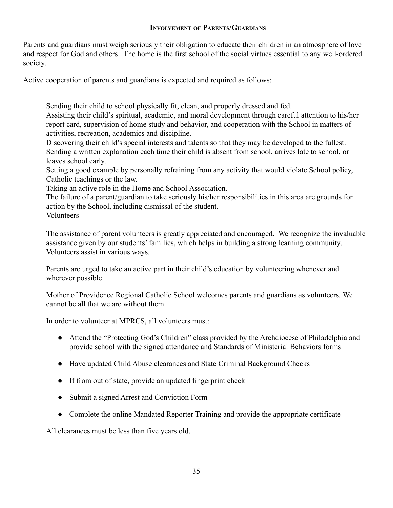# **INVOLVEMENT OF PARENTS/GUARDIANS**

Parents and guardians must weigh seriously their obligation to educate their children in an atmosphere of love and respect for God and others. The home is the first school of the social virtues essential to any well-ordered society.

Active cooperation of parents and guardians is expected and required as follows:

Sending their child to school physically fit, clean, and properly dressed and fed.

Assisting their child's spiritual, academic, and moral development through careful attention to his/her report card, supervision of home study and behavior, and cooperation with the School in matters of activities, recreation, academics and discipline.

Discovering their child's special interests and talents so that they may be developed to the fullest. Sending a written explanation each time their child is absent from school, arrives late to school, or leaves school early.

Setting a good example by personally refraining from any activity that would violate School policy, Catholic teachings or the law.

Taking an active role in the Home and School Association.

The failure of a parent/guardian to take seriously his/her responsibilities in this area are grounds for action by the School, including dismissal of the student.

Volunteers

The assistance of parent volunteers is greatly appreciated and encouraged. We recognize the invaluable assistance given by our students' families, which helps in building a strong learning community. Volunteers assist in various ways.

Parents are urged to take an active part in their child's education by volunteering whenever and wherever possible.

Mother of Providence Regional Catholic School welcomes parents and guardians as volunteers. We cannot be all that we are without them.

In order to volunteer at MPRCS, all volunteers must:

- Attend the "Protecting God's Children" class provided by the Archdiocese of Philadelphia and provide school with the signed attendance and Standards of Ministerial Behaviors forms
- Have updated Child Abuse clearances and State Criminal Background Checks
- If from out of state, provide an updated fingerprint check
- Submit a signed Arrest and Conviction Form
- Complete the online Mandated Reporter Training and provide the appropriate certificate

All clearances must be less than five years old.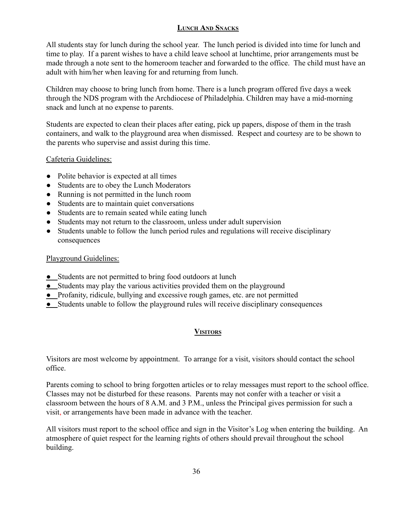# **LUNCH AND SNACKS**

All students stay for lunch during the school year. The lunch period is divided into time for lunch and time to play. If a parent wishes to have a child leave school at lunchtime, prior arrangements must be made through a note sent to the homeroom teacher and forwarded to the office. The child must have an adult with him/her when leaving for and returning from lunch.

Children may choose to bring lunch from home. There is a lunch program offered five days a week through the NDS program with the Archdiocese of Philadelphia. Children may have a mid-morning snack and lunch at no expense to parents.

Students are expected to clean their places after eating, pick up papers, dispose of them in the trash containers, and walk to the playground area when dismissed. Respect and courtesy are to be shown to the parents who supervise and assist during this time.

## Cafeteria Guidelines:

- Polite behavior is expected at all times
- Students are to obey the Lunch Moderators
- Running is not permitted in the lunch room
- Students are to maintain quiet conversations
- Students are to remain seated while eating lunch
- Students may not return to the classroom, unless under adult supervision
- Students unable to follow the lunch period rules and regulations will receive disciplinary consequences

# Playground Guidelines:

- Students are not permitted to bring food outdoors at lunch
- Students may play the various activities provided them on the playground
- Profanity, ridicule, bullying and excessive rough games, etc. are not permitted
- Students unable to follow the playground rules will receive disciplinary consequences

# **VISITORS**

Visitors are most welcome by appointment. To arrange for a visit, visitors should contact the school office.

Parents coming to school to bring forgotten articles or to relay messages must report to the school office. Classes may not be disturbed for these reasons. Parents may not confer with a teacher or visit a classroom between the hours of 8 A.M. and 3 P.M., unless the Principal gives permission for such a visit, or arrangements have been made in advance with the teacher.

All visitors must report to the school office and sign in the Visitor's Log when entering the building. An atmosphere of quiet respect for the learning rights of others should prevail throughout the school building.